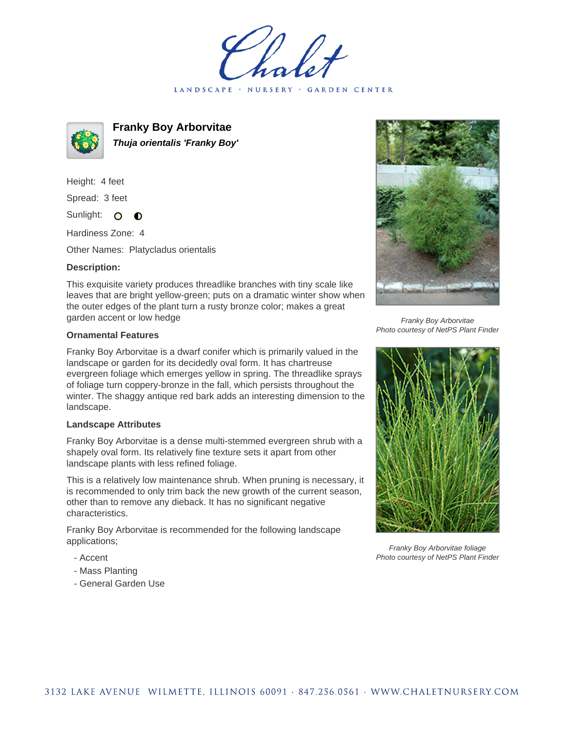LANDSCAPE · NURSERY · GARDEN CENTER



**Franky Boy Arborvitae Thuja orientalis 'Franky Boy'**

Height: 4 feet Spread: 3 feet

Sunlight: O  $\bullet$ 

Hardiness Zone: 4

Other Names: Platycladus orientalis

## **Description:**

This exquisite variety produces threadlike branches with tiny scale like leaves that are bright yellow-green; puts on a dramatic winter show when the outer edges of the plant turn a rusty bronze color; makes a great garden accent or low hedge

## **Ornamental Features**

Franky Boy Arborvitae is a dwarf conifer which is primarily valued in the landscape or garden for its decidedly oval form. It has chartreuse evergreen foliage which emerges yellow in spring. The threadlike sprays of foliage turn coppery-bronze in the fall, which persists throughout the winter. The shaggy antique red bark adds an interesting dimension to the landscape.

## **Landscape Attributes**

Franky Boy Arborvitae is a dense multi-stemmed evergreen shrub with a shapely oval form. Its relatively fine texture sets it apart from other landscape plants with less refined foliage.

This is a relatively low maintenance shrub. When pruning is necessary, it is recommended to only trim back the new growth of the current season, other than to remove any dieback. It has no significant negative characteristics.

Franky Boy Arborvitae is recommended for the following landscape applications;

- Accent
- Mass Planting
- General Garden Use



Franky Boy Arborvitae Photo courtesy of NetPS Plant Finder



Franky Boy Arborvitae foliage Photo courtesy of NetPS Plant Finder